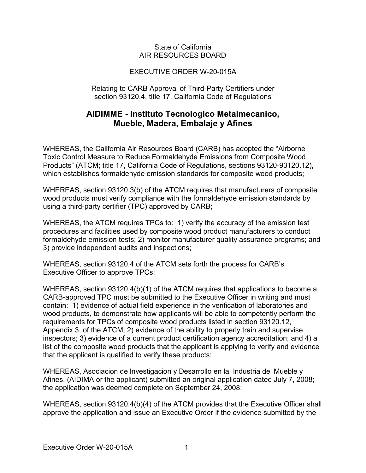## State of California AIR RESOURCES BOARD

## EXECUTIVE ORDER W-20-015A

Relating to CARB Approval of Third-Party Certifiers under section 93120.4, title 17, California Code of Regulations

## **Mueble, Madera, Embalaje y Afines AIDIMME - lnstituto Tecnologico Metalmecanico,**

 which establishes formaldehyde emission standards for composite wood products; WHEREAS, the California Air Resources Board (CARB) has adopted the "Airborne Toxic Control Measure to Reduce Formaldehyde Emissions from Composite Wood Products" (ATCM; title 17, California Code of Regulations, sections [93120-93120.12\)](https://93120-93120.12),

 using a third-party certifier (TPC) approved by CARB; WHEREAS, section 93120.3(b) of the ATCM requires that manufacturers of composite wood products must verify compliance with the formaldehyde emission standards by

 WHEREAS, the ATCM requires TPCs to: 1) verify the accuracy of the emission test procedures and facilities used by composite wood product manufacturers to conduct formaldehyde emission tests; 2) monitor manufacturer quality assurance programs; and 3) provide independent audits and inspections;

 WHEREAS, section 93120.4 of the ATCM sets forth the process for CARB's Executive Officer to approve TPCs;

 CARB-approved TPC must be submitted to the Executive Officer in writing and must contain: 1) evidence of actual field experience in the verification of laboratories and that the applicant is qualified to verify these products; WHEREAS, section 93120.4(b)(1) of the ATCM requires that applications to become a wood products, to demonstrate how applicants will be able to competently perform the requirements for TPCs of composite wood products listed in section [93120.12](https://93120.12), Appendix 3, of the ATCM; 2) evidence of the ability to properly train and supervise inspectors; 3) evidence of a current product certification agency accreditation; and 4) a list of the composite wood products that the applicant is applying to verify and evidence

 Afines, (AIDIMA or the applicant) submitted an original application dated July 7, 2008; the application was deemed complete on September 24, 2008; WHEREAS, Asociacion de lnvestigacion y Desarrollo en la lndustria del Mueble y

WHEREAS, section 93120.4(b)(4) of the ATCM provides that the Executive Officer shall approve the application and issue an Executive Order if the evidence submitted by the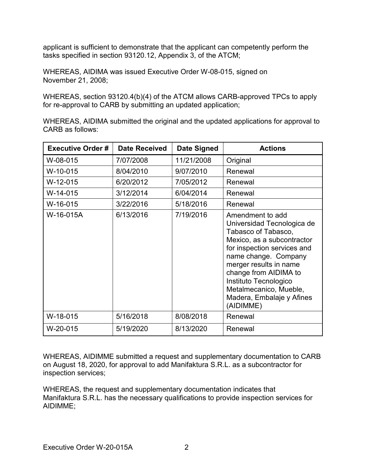tasks specified in section [93120.12](https://93120.12), Appendix 3, of the ATCM; applicant is sufficient to demonstrate that the applicant can competently perform the

 WHEREAS, AIDIMA was issued Executive Order W-08-015, signed on November 21, 2008;

 WHEREAS, section 93120.4(b)(4) of the ATCM allows CARB-approved TPCs to apply for re-approval to CARB by submitting an updated application;

WHEREAS, AIDIMA submitted the original and the updated applications for approval to CARB as follows:

| <b>Executive Order#</b> | <b>Date Received</b> | <b>Date Signed</b> | <b>Actions</b>                                                                                                                                                                                                                                                                                             |
|-------------------------|----------------------|--------------------|------------------------------------------------------------------------------------------------------------------------------------------------------------------------------------------------------------------------------------------------------------------------------------------------------------|
| W-08-015                | 7/07/2008            | 11/21/2008         | Original                                                                                                                                                                                                                                                                                                   |
| W-10-015                | 8/04/2010            | 9/07/2010          | Renewal                                                                                                                                                                                                                                                                                                    |
| W-12-015                | 6/20/2012            | 7/05/2012          | Renewal                                                                                                                                                                                                                                                                                                    |
| $W-14-015$              | 3/12/2014            | 6/04/2014          | Renewal                                                                                                                                                                                                                                                                                                    |
| W-16-015                | 3/22/2016            | 5/18/2016          | Renewal                                                                                                                                                                                                                                                                                                    |
| W-16-015A               | 6/13/2016            | 7/19/2016          | Amendment to add<br>Universidad Tecnologica de<br>Tabasco of Tabasco,<br>Mexico, as a subcontractor<br>for inspection services and<br>name change. Company<br>merger results in name<br>change from AIDIMA to<br>Instituto Tecnologico<br>Metalmecanico, Mueble,<br>Madera, Embalaje y Afines<br>(AIDIMME) |
| W-18-015                | 5/16/2018            | 8/08/2018          | Renewal                                                                                                                                                                                                                                                                                                    |
| W-20-015                | 5/19/2020            | 8/13/2020          | Renewal                                                                                                                                                                                                                                                                                                    |

inspection services; WHEREAS, AIDIMME submitted a request and supplementary documentation to CARB on August 18, 2020, for approval to add Manifaktura S.R.L. as a subcontractor for

WHEREAS, the request and supplementary documentation indicates that Manifaktura S.R.L. has the necessary qualifications to provide inspection services for AIDIMME;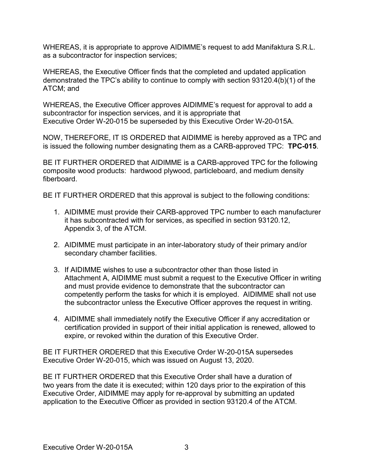WHEREAS, it is appropriate to approve AIDIMME's request to add Manifaktura S.R.L. as a subcontractor for inspection services;

 ATCM; and WHEREAS, the Executive Officer finds that the completed and updated application demonstrated the TPC's ability to continue to comply with section 93120.4(b)(1) of the

 Executive Order W-20-015 be superseded by this Executive Order W-20-015A. WHEREAS, the Executive Officer approves AIDIMME's request for approval to add a subcontractor for inspection services, and it is appropriate that

 NOW, THEREFORE, IT IS ORDERED that AIDIMME is hereby approved as a TPC and is issued the following number designating them as a CARB-approved TPC: **TPC-015**.

 BE IT FURTHER ORDERED that AIDIMME is a CARB-approved TPC for the following composite wood products: hardwood plywood, particleboard, and medium density fiberboard

fiberboard.<br>BE IT FURTHER ORDERED that this approval is subject to the following conditions:

- 1. AIDIMME must provide their CARB-approved TPC number to each manufacturer Appendix 3, of the ATCM. it has subcontracted with for services, as specified in section [93120.12](https://93120.12),
- 2. AIDIMME must participate in an inter-laboratory study of their primary and/or secondary chamber facilities.
- Attachment A, AIDIMME must submit a request to the Executive Officer in writing competently perform the tasks for which it is employed. AIDIMME shall not use the subcontractor unless the Executive Officer approves the request in writing. 3. If AIDIMME wishes to use a subcontractor other than those listed in and must provide evidence to demonstrate that the subcontractor can
- 4. AIDIMME shall immediately notify the Executive Officer if any accreditation or expire, or revoked within the duration of this Executive Order. certification provided in support of their initial application is renewed, allowed to

 BE IT FURTHER ORDERED that this Executive Order W-20-015A supersedes Executive Order W-20-015, which was issued on August 13, 2020.

 application to the Executive Officer as provided in section 93120.4 of the ATCM. BE IT FURTHER ORDERED that this Executive Order shall have a duration of two years from the date it is executed; within 120 days prior to the expiration of this Executive Order, AIDIMME may apply for re-approval by submitting an updated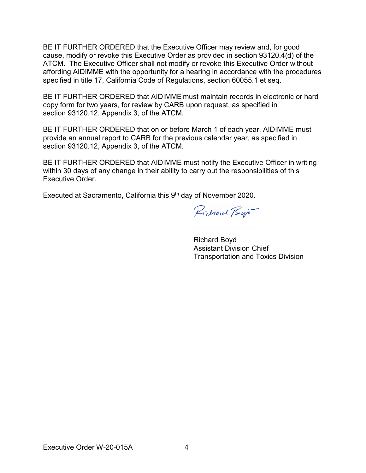BE IT FURTHER ORDERED that the Executive Officer may review and, for good ATCM. The Executive Officer shall not modify or revoke this Executive Order without specified in title 17, California Code of Regulations, section 60055.1 et seq. cause, modify or revoke this Executive Order as provided in section 93120.4(d) of the affording AIDIMME with the opportunity for a hearing in accordance with the procedures

 copy form for two years, for review by CARB upon request, as specified in section [93120.12,](https://93120.12) Appendix 3, of the ATCM. BE IT FURTHER ORDERED that AIDIMME must maintain records in electronic or hard

 BE IT FURTHER ORDERED that on or before March 1 of each year, AIDIMME must section [93120.12,](https://93120.12) Appendix 3, of the ATCM. provide an annual report to CARB for the previous calendar year, as specified in

 BE IT FURTHER ORDERED that AIDIMME must notify the Executive Officer in writing within 30 days of any change in their ability to carry out the responsibilities of this Executive Order.

Executed at Sacramento, California this <u>9th</u> day of <u>November</u> 2020.

Pichard Byr

\_\_\_\_\_\_\_\_\_\_\_\_\_\_\_\_

Richard Boyd Assistant Division Chief Transportation and Toxics Division